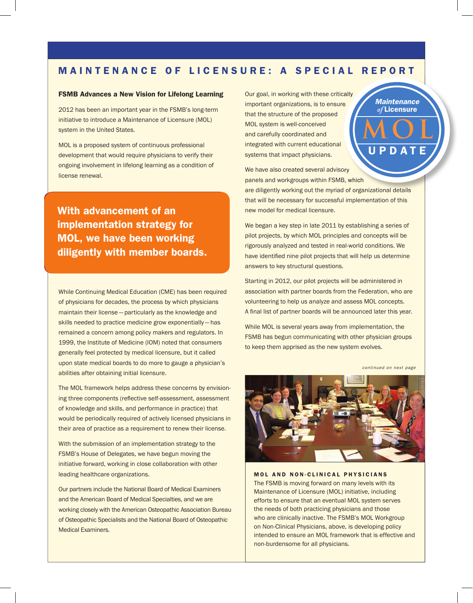# MAINTENANCE OF LICENSURE: A SPECIAL REPORT

## FSMB Advances a New Vision for Lifelong Learning

2012 has been an important year in the FSMB's long-term initiative to introduce a Maintenance of Licensure (MOL) system in the United States.

MOL is a proposed system of continuous professional development that would require physicians to verify their ongoing involvement in lifelong learning as a condition of license renewal.

With advancement of an implementation strategy for MOL, we have been working diligently with member boards.

While Continuing Medical Education (CME) has been required of physicians for decades, the process by which physicians maintain their license — particularly as the knowledge and skills needed to practice medicine grow exponentially — has remained a concern among policy makers and regulators. In 1999, the Institute of Medicine (IOM) noted that consumers generally feel protected by medical licensure, but it called upon state medical boards to do more to gauge a physician's abilities after obtaining initial licensure.

The MOL framework helps address these concerns by envisioning three components (reflective self-assessment, assessment of knowledge and skills, and performance in practice) that would be periodically required of actively licensed physicians in their area of practice as a requirement to renew their license.

With the submission of an implementation strategy to the FSMB's House of Delegates, we have begun moving the initiative forward, working in close collaboration with other leading healthcare organizations.

Our partners include the National Board of Medical Examiners and the American Board of Medical Specialties, and we are working closely with the American Osteopathic Association Bureau of Osteopathic Specialists and the National Board of Osteopathic Medical Examiners.

Our goal, in working with these critically important organizations, is to ensure that the structure of the proposed MOL system is well-conceived and carefully coordinated and integrated with current educational systems that impact physicians.

**MOL** DAT *Maintenance of* Licensure

We have also created several advisory panels and workgroups within FSMB, which

are diligently working out the myriad of organizational details that will be necessary for successful implementation of this new model for medical licensure.

We began a key step in late 2011 by establishing a series of pilot projects, by which MOL principles and concepts will be rigorously analyzed and tested in real-world conditions. We have identified nine pilot projects that will help us determine answers to key structural questions.

Starting in 2012, our pilot projects will be administered in association with partner boards from the Federation, who are volunteering to help us analyze and assess MOL concepts. A final list of partner boards will be announced later this year.

While MOL is several years away from implementation, the FSMB has begun communicating with other physician groups to keep them apprised as the new system evolves.

*continued on next page*



MOL AND NON-CLINICAL PHYSICIANS The FSMB is moving forward on many levels with its Maintenance of Licensure (MOL) initiative, including efforts to ensure that an eventual MOL system serves the needs of both practicing physicians and those who are clinically inactive. The FSMB's MOL Workgroup on Non-Clinical Physicians, above, is developing policy intended to ensure an MOL framework that is effective and non-burdensome for all physicians.